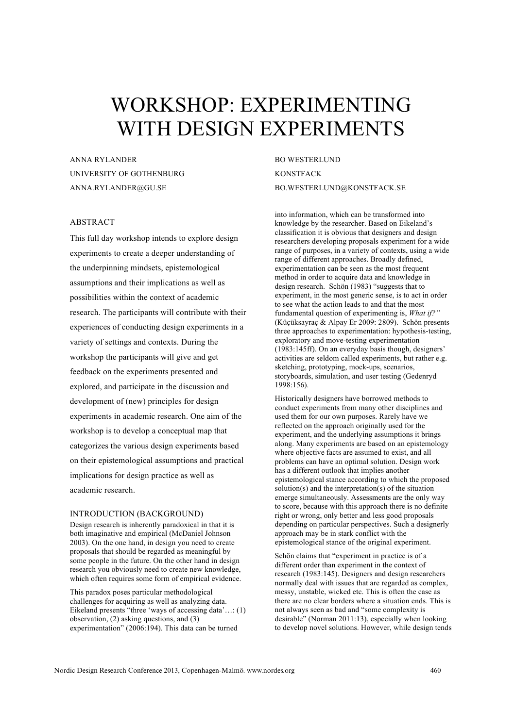# WORKSHOP: EXPERIMENTING WITH DESIGN EXPERIMENTS

ANNA RYLANDER UNIVERSITY OF GOTHENBURG ANNA.RYLANDER@GU.SE

# ABSTRACT

This full day workshop intends to explore design experiments to create a deeper understanding of the underpinning mindsets, epistemological assumptions and their implications as well as possibilities within the context of academic research. The participants will contribute with their experiences of conducting design experiments in a variety of settings and contexts. During the workshop the participants will give and get feedback on the experiments presented and explored, and participate in the discussion and development of (new) principles for design experiments in academic research. One aim of the workshop is to develop a conceptual map that categorizes the various design experiments based on their epistemological assumptions and practical implications for design practice as well as academic research.

## INTRODUCTION (BACKGROUND)

Design research is inherently paradoxical in that it is both imaginative and empirical (McDaniel Johnson 2003). On the one hand, in design you need to create proposals that should be regarded as meaningful by some people in the future. On the other hand in design research you obviously need to create new knowledge, which often requires some form of empirical evidence.

This paradox poses particular methodological challenges for acquiring as well as analyzing data. Eikeland presents "three 'ways of accessing data'...: (1) observation, (2) asking questions, and (3) experimentation" (2006:194). This data can be turned

BO WESTERLUND **KONSTFACK** BO.WESTERLUND@KONSTFACK.SE

into information, which can be transformed into knowledge by the researcher. Based on Eikeland's classification it is obvious that designers and design researchers developing proposals experiment for a wide range of purposes, in a variety of contexts, using a wide range of different approaches. Broadly defined, experimentation can be seen as the most frequent method in order to acquire data and knowledge in design research. Schön (1983) "suggests that to experiment, in the most generic sense, is to act in order to see what the action leads to and that the most fundamental question of experimenting is, *What if?"*  (Küçüksayraç & Alpay Er 2009: 2809). Schön presents three approaches to experimentation: hypothesis-testing, exploratory and move-testing experimentation (1983:145ff). On an everyday basis though, designers' activities are seldom called experiments, but rather e.g. sketching, prototyping, mock-ups, scenarios, storyboards, simulation, and user testing (Gedenryd 1998:156).

Historically designers have borrowed methods to conduct experiments from many other disciplines and used them for our own purposes. Rarely have we reflected on the approach originally used for the experiment, and the underlying assumptions it brings along. Many experiments are based on an epistemology where objective facts are assumed to exist, and all problems can have an optimal solution. Design work has a different outlook that implies another epistemological stance according to which the proposed solution(s) and the interpretation(s) of the situation emerge simultaneously. Assessments are the only way to score, because with this approach there is no definite right or wrong, only better and less good proposals depending on particular perspectives. Such a designerly approach may be in stark conflict with the epistemological stance of the original experiment.

Schön claims that "experiment in practice is of a different order than experiment in the context of research (1983:145). Designers and design researchers normally deal with issues that are regarded as complex, messy, unstable, wicked etc. This is often the case as there are no clear borders where a situation ends. This is not always seen as bad and "some complexity is desirable" (Norman 2011:13), especially when looking to develop novel solutions. However, while design tends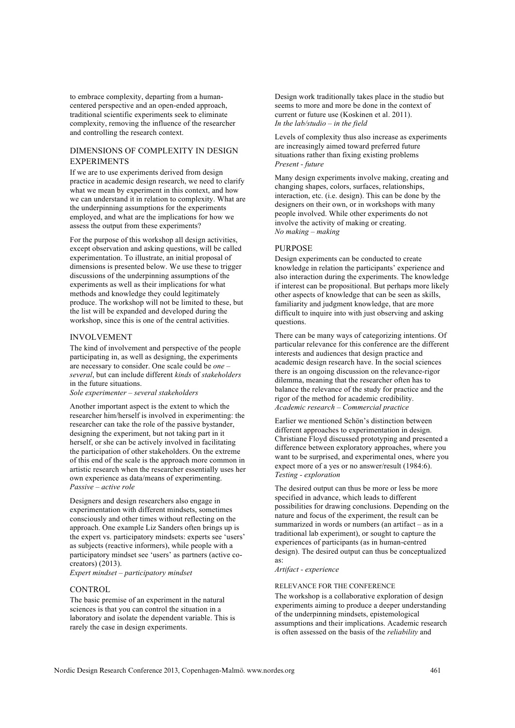to embrace complexity, departing from a humancentered perspective and an open-ended approach, traditional scientific experiments seek to eliminate complexity, removing the influence of the researcher and controlling the research context.

# DIMENSIONS OF COMPLEXITY IN DESIGN EXPERIMENTS

If we are to use experiments derived from design practice in academic design research, we need to clarify what we mean by experiment in this context, and how we can understand it in relation to complexity. What are the underpinning assumptions for the experiments employed, and what are the implications for how we assess the output from these experiments?

For the purpose of this workshop all design activities, except observation and asking questions, will be called experimentation. To illustrate, an initial proposal of dimensions is presented below. We use these to trigger discussions of the underpinning assumptions of the experiments as well as their implications for what methods and knowledge they could legitimately produce. The workshop will not be limited to these, but the list will be expanded and developed during the workshop, since this is one of the central activities.

## INVOLVEMENT

The kind of involvement and perspective of the people participating in, as well as designing, the experiments are necessary to consider. One scale could be *one – several*, but can include different *kinds* of *stakeholders* in the future situations.

*Sole experimenter – several stakeholders*

Another important aspect is the extent to which the researcher him/herself is involved in experimenting: the researcher can take the role of the passive bystander, designing the experiment, but not taking part in it herself, or she can be actively involved in facilitating the participation of other stakeholders. On the extreme of this end of the scale is the approach more common in artistic research when the researcher essentially uses her own experience as data/means of experimenting. *Passive – active role*

Designers and design researchers also engage in experimentation with different mindsets, sometimes consciously and other times without reflecting on the approach. One example Liz Sanders often brings up is the expert vs. participatory mindsets: experts see 'users' as subjects (reactive informers), while people with a participatory mindset see 'users' as partners (active cocreators) (2013).

*Expert mindset – participatory mindset*

#### **CONTROL**

The basic premise of an experiment in the natural sciences is that you can control the situation in a laboratory and isolate the dependent variable. This is rarely the case in design experiments.

Design work traditionally takes place in the studio but seems to more and more be done in the context of current or future use (Koskinen et al. 2011). *In the lab/studio – in the field*

Levels of complexity thus also increase as experiments are increasingly aimed toward preferred future situations rather than fixing existing problems *Present - future*

Many design experiments involve making, creating and changing shapes, colors, surfaces, relationships, interaction, etc. (i.e. design). This can be done by the designers on their own, or in workshops with many people involved. While other experiments do not involve the activity of making or creating. *No making – making*

#### PURPOSE

Design experiments can be conducted to create knowledge in relation the participants' experience and also interaction during the experiments. The knowledge if interest can be propositional. But perhaps more likely other aspects of knowledge that can be seen as skills, familiarity and judgment knowledge, that are more difficult to inquire into with just observing and asking questions.

There can be many ways of categorizing intentions. Of particular relevance for this conference are the different interests and audiences that design practice and academic design research have. In the social sciences there is an ongoing discussion on the relevance-rigor dilemma, meaning that the researcher often has to balance the relevance of the study for practice and the rigor of the method for academic credibility. *Academic research – Commercial practice*

Earlier we mentioned Schön's distinction between different approaches to experimentation in design. Christiane Floyd discussed prototyping and presented a difference between exploratory approaches, where you want to be surprised, and experimental ones, where you expect more of a yes or no answer/result (1984:6). *Testing - exploration*

The desired output can thus be more or less be more specified in advance, which leads to different possibilities for drawing conclusions. Depending on the nature and focus of the experiment, the result can be summarized in words or numbers (an artifact – as in a traditional lab experiment), or sought to capture the experiences of participants (as in human-centred design). The desired output can thus be conceptualized as:

*Artifact - experience*

#### RELEVANCE FOR THE CONFERENCE

The workshop is a collaborative exploration of design experiments aiming to produce a deeper understanding of the underpinning mindsets, epistemological assumptions and their implications. Academic research is often assessed on the basis of the *reliability* and